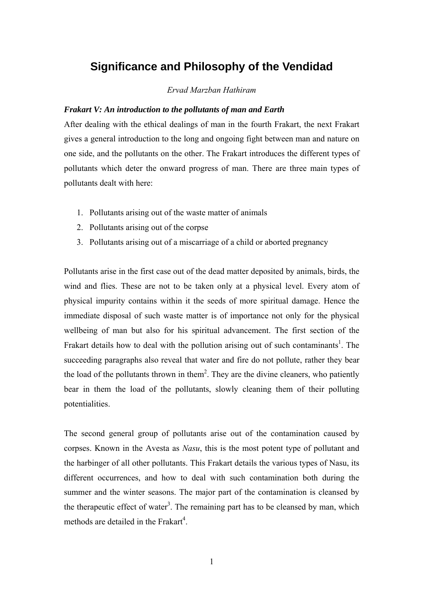# **Significance and Philosophy of the Vendidad**

# *Ervad Marzban Hathiram*

# *Frakart V: An introduction to the pollutants of man and Earth*

After dealing with the ethical dealings of man in the fourth Frakart, the next Frakart gives a general introduction to the long and ongoing fight between man and nature on one side, and the pollutants on the other. The Frakart introduces the different types of pollutants which deter the onward progress of man. There are three main types of pollutants dealt with here:

- 1. Pollutants arising out of the waste matter of animals
- 2. Pollutants arising out of the corpse
- 3. Pollutants arising out of a miscarriage of a child or aborted pregnancy

Pollutants arise in the first case out of the dead matter deposited by animals, birds, the wind and flies. These are not to be taken only at a physical level. Every atom of physical impurity contains within it the seeds of more spiritual damage. Hence the immediate disposal of such waste matter is of importance not only for the physical wellbeing of man but also for his spiritual advancement. The first section of the Frakart details how to deal with the pollution arising out of such contaminants<sup>[1](#page-15-0)</sup>. The succeeding paragraphs also reveal that water and fire do not pollute, rather they bear the load of the pollutants thrown in them<sup>2</sup>. They are the divine cleaners, who patiently bear in them the load of the pollutants, slowly cleaning them of their polluting potentialities.

The second general group of pollutants arise out of the contamination caused by corpses. Known in the Avesta as *Nasu*, this is the most potent type of pollutant and the harbinger of all other pollutants. This Frakart details the various types of Nasu, its different occurrences, and how to deal with such contamination both during the summer and the winter seasons. The major part of the contamination is cleansed by the therapeutic effect of water<sup>[3](#page-15-2)</sup>. The remaining part has to be cleansed by man, which methods are detailed in the Frakart<sup>[4](#page-15-3)</sup>.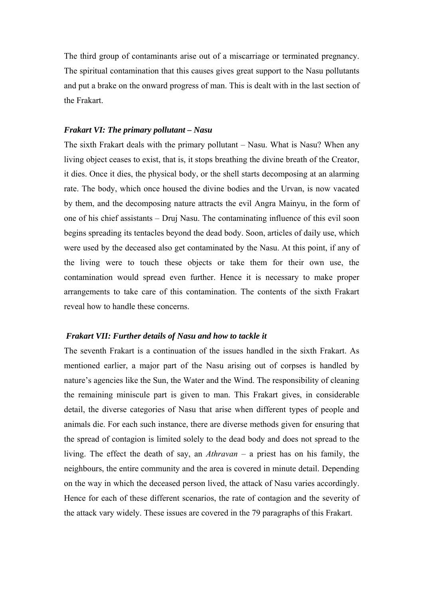The third group of contaminants arise out of a miscarriage or terminated pregnancy. The spiritual contamination that this causes gives great support to the Nasu pollutants and put a brake on the onward progress of man. This is dealt with in the last section of the Frakart.

#### *Frakart VI: The primary pollutant – Nasu*

The sixth Frakart deals with the primary pollutant – Nasu. What is Nasu? When any living object ceases to exist, that is, it stops breathing the divine breath of the Creator, it dies. Once it dies, the physical body, or the shell starts decomposing at an alarming rate. The body, which once housed the divine bodies and the Urvan, is now vacated by them, and the decomposing nature attracts the evil Angra Mainyu, in the form of one of his chief assistants – Druj Nasu. The contaminating influence of this evil soon begins spreading its tentacles beyond the dead body. Soon, articles of daily use, which were used by the deceased also get contaminated by the Nasu. At this point, if any of the living were to touch these objects or take them for their own use, the contamination would spread even further. Hence it is necessary to make proper arrangements to take care of this contamination. The contents of the sixth Frakart reveal how to handle these concerns.

#### *Frakart VII: Further details of Nasu and how to tackle it*

The seventh Frakart is a continuation of the issues handled in the sixth Frakart. As mentioned earlier, a major part of the Nasu arising out of corpses is handled by nature's agencies like the Sun, the Water and the Wind. The responsibility of cleaning the remaining miniscule part is given to man. This Frakart gives, in considerable detail, the diverse categories of Nasu that arise when different types of people and animals die. For each such instance, there are diverse methods given for ensuring that the spread of contagion is limited solely to the dead body and does not spread to the living. The effect the death of say, an *Athravan* – a priest has on his family, the neighbours, the entire community and the area is covered in minute detail. Depending on the way in which the deceased person lived, the attack of Nasu varies accordingly. Hence for each of these different scenarios, the rate of contagion and the severity of the attack vary widely. These issues are covered in the 79 paragraphs of this Frakart.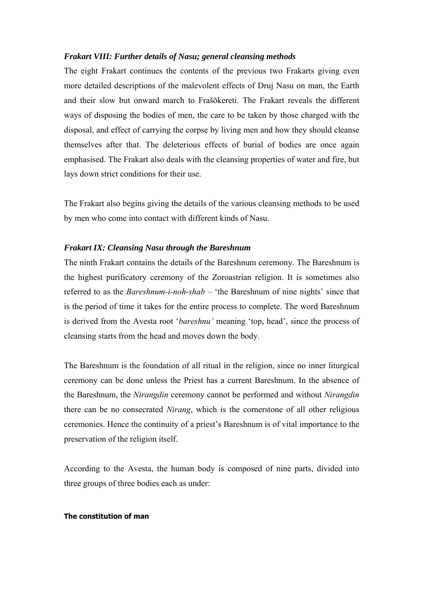#### *Frakart VIII: Further details of Nasu; general cleansing methods*

The eight Frakart continues the contents of the previous two Frakarts giving even more detailed descriptions of the malevolent effects of Druj Nasu on man, the Earth and their slow but onward march to Frašōkereti. The Frakart reveals the different ways of disposing the bodies of men, the care to be taken by those charged with the disposal, and effect of carrying the corpse by living men and how they should cleanse themselves after that. The deleterious effects of burial of bodies are once again emphasised. The Frakart also deals with the cleansing properties of water and fire, but lays down strict conditions for their use.

The Frakart also begins giving the details of the various cleansing methods to be used by men who come into contact with different kinds of Nasu.

#### *Frakart IX: Cleansing Nasu through the Bareshnum*

The ninth Frakart contains the details of the Bareshnum ceremony. The Bareshnum is the highest purificatory ceremony of the Zoroastrian religion. It is sometimes also referred to as the *Bareshnum-i-noh-shab* – 'the Bareshnum of nine nights' since that is the period of time it takes for the entire process to complete. The word Bareshnum is derived from the Avesta root '*bareshnu'* meaning 'top, head', since the process of cleansing starts from the head and moves down the body.

The Bareshnum is the foundation of all ritual in the religion, since no inner liturgical ceremony can be done unless the Priest has a current Bareshnum. In the absence of the Bareshnum, the *Nirangdin* ceremony cannot be performed and without *Nirangdin* there can be no consecrated *Nirang*, which is the cornerstone of all other religious ceremonies. Hence the continuity of a priest's Bareshnum is of vital importance to the preservation of the religion itself.

According to the Avesta, the human body is composed of nine parts, divided into three groups of three bodies each as under:

#### **The constitution of man**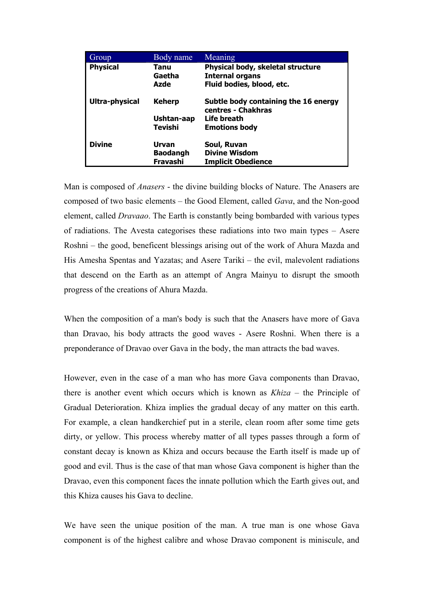| Group           | Body name       | Meaning                                                    |
|-----------------|-----------------|------------------------------------------------------------|
| <b>Physical</b> | Tanu            | Physical body, skeletal structure                          |
|                 | Gaetha          | <b>Internal organs</b>                                     |
|                 | Azde            | Fluid bodies, blood, etc.                                  |
| Ultra-physical  | <b>Keherp</b>   | Subtle body containing the 16 energy<br>centres - Chakhras |
|                 | Ushtan-aap      | Life breath                                                |
|                 | Tevishi         | <b>Emotions body</b>                                       |
| <b>Divine</b>   | Urvan           | Soul, Ruvan                                                |
|                 | <b>Baodangh</b> | <b>Divine Wisdom</b>                                       |
|                 | Fravashi        | <b>Implicit Obedience</b>                                  |

Man is composed of *Anasers* - the divine building blocks of Nature. The Anasers are composed of two basic elements – the Good Element, called *Gava*, and the Non-good element, called *Dravaao*. The Earth is constantly being bombarded with various types of radiations. The Avesta categorises these radiations into two main types – Asere Roshni – the good, beneficent blessings arising out of the work of Ahura Mazda and His Amesha Spentas and Yazatas; and Asere Tariki – the evil, malevolent radiations that descend on the Earth as an attempt of Angra Mainyu to disrupt the smooth progress of the creations of Ahura Mazda.

When the composition of a man's body is such that the Anasers have more of Gava than Dravao, his body attracts the good waves - Asere Roshni. When there is a preponderance of Dravao over Gava in the body, the man attracts the bad waves.

However, even in the case of a man who has more Gava components than Dravao, there is another event which occurs which is known as *Khiza* – the Principle of Gradual Deterioration. Khiza implies the gradual decay of any matter on this earth. For example, a clean handkerchief put in a sterile, clean room after some time gets dirty, or yellow. This process whereby matter of all types passes through a form of constant decay is known as Khiza and occurs because the Earth itself is made up of good and evil. Thus is the case of that man whose Gava component is higher than the Dravao, even this component faces the innate pollution which the Earth gives out, and this Khiza causes his Gava to decline.

We have seen the unique position of the man. A true man is one whose Gava component is of the highest calibre and whose Dravao component is miniscule, and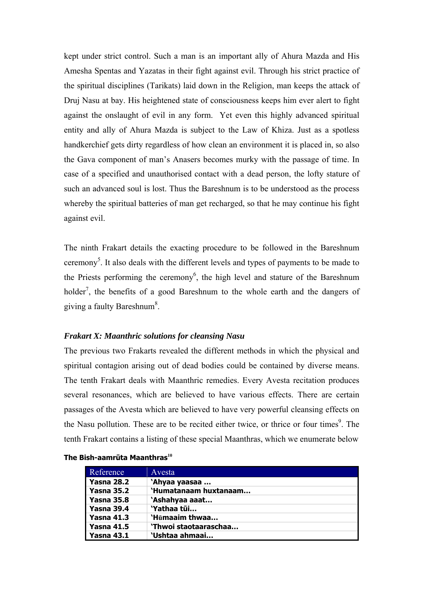kept under strict control. Such a man is an important ally of Ahura Mazda and His Amesha Spentas and Yazatas in their fight against evil. Through his strict practice of the spiritual disciplines (Tarikats) laid down in the Religion, man keeps the attack of Druj Nasu at bay. His heightened state of consciousness keeps him ever alert to fight against the onslaught of evil in any form. Yet even this highly advanced spiritual entity and ally of Ahura Mazda is subject to the Law of Khiza. Just as a spotless handkerchief gets dirty regardless of how clean an environment it is placed in, so also the Gava component of man's Anasers becomes murky with the passage of time. In case of a specified and unauthorised contact with a dead person, the lofty stature of such an advanced soul is lost. Thus the Bareshnum is to be understood as the process whereby the spiritual batteries of man get recharged, so that he may continue his fight against evil.

The ninth Frakart details the exacting procedure to be followed in the Bareshnum ceremony<sup>5</sup>. It also deals with the different levels and types of payments to be made to the Priests performing the ceremony<sup>[6](#page-15-5)</sup>, the high level and stature of the Bareshnum holder<sup>[7](#page-15-6)</sup>, the benefits of a good Bareshnum to the whole earth and the dangers of giving a faulty Bareshnum<sup>[8](#page-15-7)</sup>.

# *Frakart X: Maanthric solutions for cleansing Nasu*

The previous two Frakarts revealed the different methods in which the physical and spiritual contagion arising out of dead bodies could be contained by diverse means. The tenth Frakart deals with Maanthric remedies. Every Avesta recitation produces several resonances, which are believed to have various effects. There are certain passages of the Avesta which are believed to have very powerful cleansing effects on the Nasu pollution. These are to be recited either twice, or thrice or four times<sup>9</sup>. The tenth Frakart contains a listing of these special Maanthras, which we enumerate below

| Reference         | Avesta                |
|-------------------|-----------------------|
| <b>Yasna 28.2</b> | 'Ahyaa yaasaa         |
| <b>Yasna 35.2</b> | 'Humatanaam huxtanaam |
| <b>Yasna 35.8</b> | 'Ashahyaa aaat        |
| <b>Yasna 39.4</b> | 'Yathaa tūi           |
| <b>Yasna 41.3</b> | 'Hūmaaim thwaa        |
| <b>Yasna 41.5</b> | 'Thwoi staotaaraschaa |
| <b>Yasna 43.1</b> | `Ushtaa ahmaai        |

#### **The Bish-aamrūta Maanthras[10](#page-15-9)**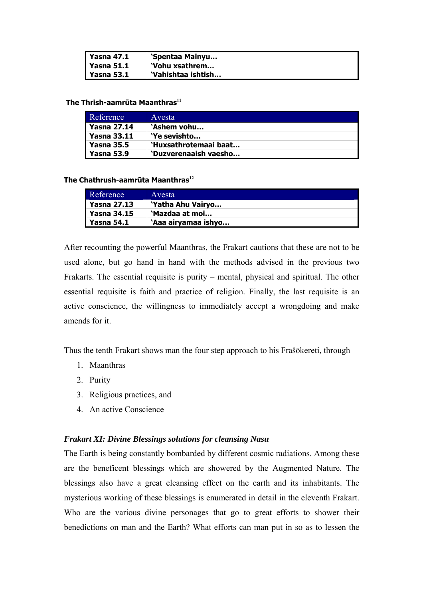| Yasna 47.1        | 'Spentaa Mainyu    |
|-------------------|--------------------|
| <b>Yasna 51.1</b> | 'Vohu xsathrem     |
| Yasna 53.1        | 'Vahishtaa ishtish |

#### **The Thrish-aamrūta Maanthras[11](#page-15-10)**

| Reference         | Avesta                |
|-------------------|-----------------------|
| l Yasna 27.14     | 'Ashem vohu           |
| Yasna 33.11       | 'Ye sevishto          |
| <b>Yasna 35.5</b> | 'Huxsathrotemaai baat |
| <b>Yasna 53.9</b> | 'Duzverenaaish vaesho |

# **The Chathrush-aamrūta Maanthras[12](#page-15-11)**

| Reference          | Avesta              |
|--------------------|---------------------|
| <b>Yasna 27.13</b> | 'Yatha Ahu Vairyo   |
| <b>Yasna 34.15</b> | 'Mazdaa at moi      |
| <b>Yasna 54.1</b>  | 'Aaa airyamaa ishyo |

After recounting the powerful Maanthras, the Frakart cautions that these are not to be used alone, but go hand in hand with the methods advised in the previous two Frakarts. The essential requisite is purity – mental, physical and spiritual. The other essential requisite is faith and practice of religion. Finally, the last requisite is an active conscience, the willingness to immediately accept a wrongdoing and make amends for it.

Thus the tenth Frakart shows man the four step approach to his Frašōkereti, through

- 1. Maanthras
- 2. Purity
- 3. Religious practices, and
- 4. An active Conscience

# *Frakart XI: Divine Blessings solutions for cleansing Nasu*

The Earth is being constantly bombarded by different cosmic radiations. Among these are the beneficent blessings which are showered by the Augmented Nature. The blessings also have a great cleansing effect on the earth and its inhabitants. The mysterious working of these blessings is enumerated in detail in the eleventh Frakart. Who are the various divine personages that go to great efforts to shower their benedictions on man and the Earth? What efforts can man put in so as to lessen the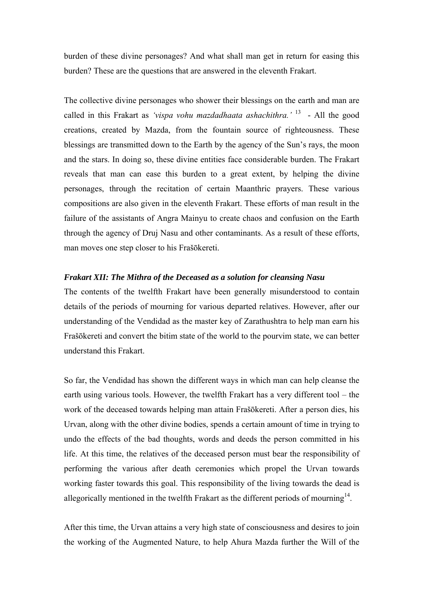burden of these divine personages? And what shall man get in return for easing this burden? These are the questions that are answered in the eleventh Frakart.

The collective divine personages who shower their blessings on the earth and man are called in this Frakart as *'vispa vohu mazdadhaata ashachithra.'* [13](#page-15-12) - All the good creations, created by Mazda, from the fountain source of righteousness. These blessings are transmitted down to the Earth by the agency of the Sun's rays, the moon and the stars. In doing so, these divine entities face considerable burden. The Frakart reveals that man can ease this burden to a great extent, by helping the divine personages, through the recitation of certain Maanthric prayers. These various compositions are also given in the eleventh Frakart. These efforts of man result in the failure of the assistants of Angra Mainyu to create chaos and confusion on the Earth through the agency of Druj Nasu and other contaminants. As a result of these efforts, man moves one step closer to his Frašōkereti.

# *Frakart XII: The Mithra of the Deceased as a solution for cleansing Nasu*

The contents of the twelfth Frakart have been generally misunderstood to contain details of the periods of mourning for various departed relatives. However, after our understanding of the Vendidad as the master key of Zarathushtra to help man earn his Frašōkereti and convert the bitim state of the world to the pourvim state, we can better understand this Frakart.

So far, the Vendidad has shown the different ways in which man can help cleanse the earth using various tools. However, the twelfth Frakart has a very different tool – the work of the deceased towards helping man attain Frašōkereti. After a person dies, his Urvan, along with the other divine bodies, spends a certain amount of time in trying to undo the effects of the bad thoughts, words and deeds the person committed in his life. At this time, the relatives of the deceased person must bear the responsibility of performing the various after death ceremonies which propel the Urvan towards working faster towards this goal. This responsibility of the living towards the dead is allegorically mentioned in the twelfth Frakart as the different periods of mourning $<sup>14</sup>$ .</sup>

After this time, the Urvan attains a very high state of consciousness and desires to join the working of the Augmented Nature, to help Ahura Mazda further the Will of the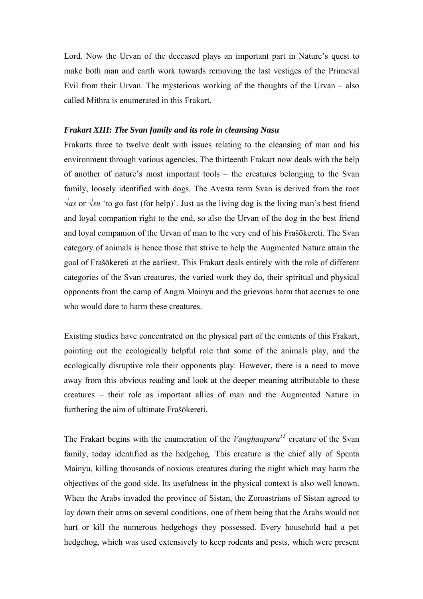Lord. Now the Urvan of the deceased plays an important part in Nature's quest to make both man and earth work towards removing the last vestiges of the Primeval Evil from their Urvan. The mysterious working of the thoughts of the Urvan – also called Mithra is enumerated in this Frakart.

# *Frakart XIII: The Svan family and its role in cleansing Nasu*

Frakarts three to twelve dealt with issues relating to the cleansing of man and his environment through various agencies. The thirteenth Frakart now deals with the help of another of nature's most important tools – the creatures belonging to the Svan family, loosely identified with dogs. The Avesta term Svan is derived from the root *√as* or *√su* 'to go fast (for help)'. Just as the living dog is the living man's best friend and loyal companion right to the end, so also the Urvan of the dog in the best friend and loyal companion of the Urvan of man to the very end of his Frašōkereti. The Svan category of animals is hence those that strive to help the Augmented Nature attain the goal of Frašōkereti at the earliest. This Frakart deals entirely with the role of different categories of the Svan creatures, the varied work they do, their spiritual and physical opponents from the camp of Angra Mainyu and the grievous harm that accrues to one who would dare to harm these creatures.

Existing studies have concentrated on the physical part of the contents of this Frakart, pointing out the ecologically helpful role that some of the animals play, and the ecologically disruptive role their opponents play. However, there is a need to move away from this obvious reading and look at the deeper meaning attributable to these creatures – their role as important allies of man and the Augmented Nature in furthering the aim of ultimate Frašōkereti.

The Frakart begins with the enumeration of the *Vanghaapara[15](#page-15-14)* creature of the Svan family, today identified as the hedgehog. This creature is the chief ally of Spenta Mainyu, killing thousands of noxious creatures during the night which may harm the objectives of the good side. Its usefulness in the physical context is also well known. When the Arabs invaded the province of Sistan, the Zoroastrians of Sistan agreed to lay down their arms on several conditions, one of them being that the Arabs would not hurt or kill the numerous hedgehogs they possessed. Every household had a pet hedgehog, which was used extensively to keep rodents and pests, which were present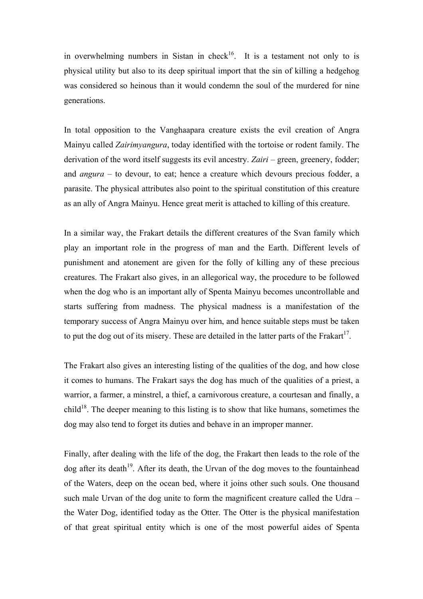in overwhelming numbers in Sistan in check<sup>16</sup>. It is a testament not only to is physical utility but also to its deep spiritual import that the sin of killing a hedgehog was considered so heinous than it would condemn the soul of the murdered for nine generations.

In total opposition to the Vanghaapara creature exists the evil creation of Angra Mainyu called *Zairimyangura*, today identified with the tortoise or rodent family. The derivation of the word itself suggests its evil ancestry. *Zairi* – green, greenery, fodder; and *angura* – to devour, to eat; hence a creature which devours precious fodder, a parasite. The physical attributes also point to the spiritual constitution of this creature as an ally of Angra Mainyu. Hence great merit is attached to killing of this creature.

In a similar way, the Frakart details the different creatures of the Svan family which play an important role in the progress of man and the Earth. Different levels of punishment and atonement are given for the folly of killing any of these precious creatures. The Frakart also gives, in an allegorical way, the procedure to be followed when the dog who is an important ally of Spenta Mainyu becomes uncontrollable and starts suffering from madness. The physical madness is a manifestation of the temporary success of Angra Mainyu over him, and hence suitable steps must be taken to put the dog out of its misery. These are detailed in the latter parts of the Frakart<sup>17</sup>.

The Frakart also gives an interesting listing of the qualities of the dog, and how close it comes to humans. The Frakart says the dog has much of the qualities of a priest, a warrior, a farmer, a minstrel, a thief, a carnivorous creature, a courtesan and finally, a child<sup>18</sup>. The deeper meaning to this listing is to show that like humans, sometimes the dog may also tend to forget its duties and behave in an improper manner.

Finally, after dealing with the life of the dog, the Frakart then leads to the role of the  $\log$  after its death<sup>19</sup>. After its death, the Urvan of the dog moves to the fountainhead of the Waters, deep on the ocean bed, where it joins other such souls. One thousand such male Urvan of the dog unite to form the magnificent creature called the Udra – the Water Dog, identified today as the Otter. The Otter is the physical manifestation of that great spiritual entity which is one of the most powerful aides of Spenta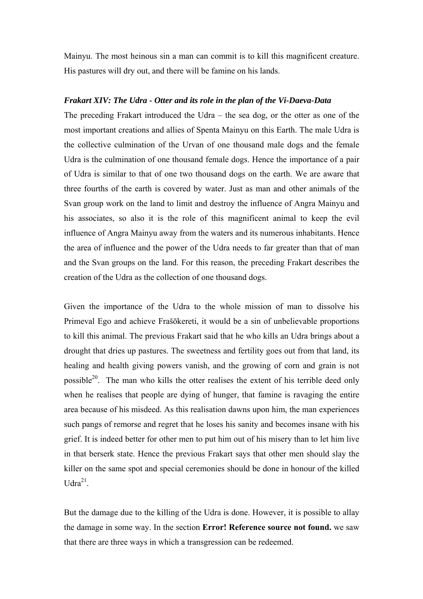Mainyu. The most heinous sin a man can commit is to kill this magnificent creature. His pastures will dry out, and there will be famine on his lands.

# *Frakart XIV: The Udra - Otter and its role in the plan of the Vi-Daeva-Data*

The preceding Frakart introduced the Udra – the sea dog, or the otter as one of the most important creations and allies of Spenta Mainyu on this Earth. The male Udra is the collective culmination of the Urvan of one thousand male dogs and the female Udra is the culmination of one thousand female dogs. Hence the importance of a pair of Udra is similar to that of one two thousand dogs on the earth. We are aware that three fourths of the earth is covered by water. Just as man and other animals of the Svan group work on the land to limit and destroy the influence of Angra Mainyu and his associates, so also it is the role of this magnificent animal to keep the evil influence of Angra Mainyu away from the waters and its numerous inhabitants. Hence the area of influence and the power of the Udra needs to far greater than that of man and the Svan groups on the land. For this reason, the preceding Frakart describes the creation of the Udra as the collection of one thousand dogs.

Given the importance of the Udra to the whole mission of man to dissolve his Primeval Ego and achieve Frašōkereti, it would be a sin of unbelievable proportions to kill this animal. The previous Frakart said that he who kills an Udra brings about a drought that dries up pastures. The sweetness and fertility goes out from that land, its healing and health giving powers vanish, and the growing of corn and grain is not possible<sup>20</sup>. The man who kills the otter realises the extent of his terrible deed only when he realises that people are dying of hunger, that famine is ravaging the entire area because of his misdeed. As this realisation dawns upon him, the man experiences such pangs of remorse and regret that he loses his sanity and becomes insane with his grief. It is indeed better for other men to put him out of his misery than to let him live in that berserk state. Hence the previous Frakart says that other men should slay the killer on the same spot and special ceremonies should be done in honour of the killed  $Udra^{21}$ 

But the damage due to the killing of the Udra is done. However, it is possible to allay the damage in some way. In the section **[Error! Reference source not found.](#page-15-0)** we saw that there are three ways in which a transgression can be redeemed.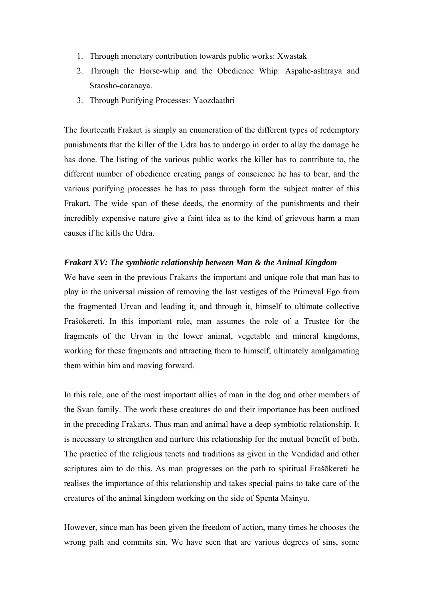- 1. Through monetary contribution towards public works: Xwastak
- 2. Through the Horse-whip and the Obedience Whip: Aspahe-ashtraya and Sraosho-caranaya.
- 3. Through Purifying Processes: Yaozdaathri

The fourteenth Frakart is simply an enumeration of the different types of redemptory punishments that the killer of the Udra has to undergo in order to allay the damage he has done. The listing of the various public works the killer has to contribute to, the different number of obedience creating pangs of conscience he has to bear, and the various purifying processes he has to pass through form the subject matter of this Frakart. The wide span of these deeds, the enormity of the punishments and their incredibly expensive nature give a faint idea as to the kind of grievous harm a man causes if he kills the Udra.

# *Frakart XV: The symbiotic relationship between Man & the Animal Kingdom*

We have seen in the previous Frakarts the important and unique role that man has to play in the universal mission of removing the last vestiges of the Primeval Ego from the fragmented Urvan and leading it, and through it, himself to ultimate collective Frašōkereti. In this important role, man assumes the role of a Trustee for the fragments of the Urvan in the lower animal, vegetable and mineral kingdoms, working for these fragments and attracting them to himself, ultimately amalgamating them within him and moving forward.

In this role, one of the most important allies of man in the dog and other members of the Svan family. The work these creatures do and their importance has been outlined in the preceding Frakarts. Thus man and animal have a deep symbiotic relationship. It is necessary to strengthen and nurture this relationship for the mutual benefit of both. The practice of the religious tenets and traditions as given in the Vendidad and other scriptures aim to do this. As man progresses on the path to spiritual Frašōkereti he realises the importance of this relationship and takes special pains to take care of the creatures of the animal kingdom working on the side of Spenta Mainyu.

However, since man has been given the freedom of action, many times he chooses the wrong path and commits sin. We have seen that are various degrees of sins, some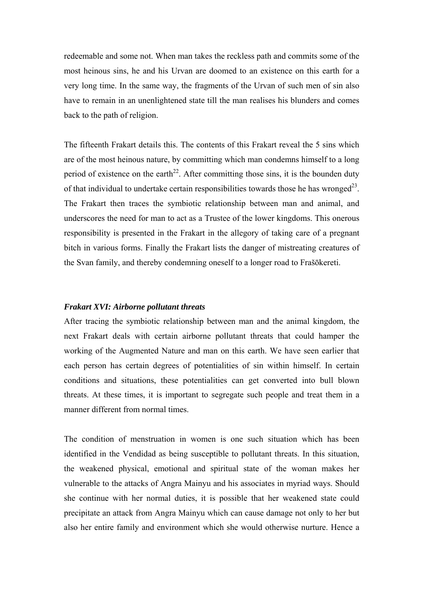redeemable and some not. When man takes the reckless path and commits some of the most heinous sins, he and his Urvan are doomed to an existence on this earth for a very long time. In the same way, the fragments of the Urvan of such men of sin also have to remain in an unenlightened state till the man realises his blunders and comes back to the path of religion.

The fifteenth Frakart details this. The contents of this Frakart reveal the 5 sins which are of the most heinous nature, by committing which man condemns himself to a long period of existence on the earth<sup>22</sup>. After committing those sins, it is the bounden duty of that individual to undertake certain responsibilities towards those he has wronged<sup>23</sup>. The Frakart then traces the symbiotic relationship between man and animal, and underscores the need for man to act as a Trustee of the lower kingdoms. This onerous responsibility is presented in the Frakart in the allegory of taking care of a pregnant bitch in various forms. Finally the Frakart lists the danger of mistreating creatures of the Svan family, and thereby condemning oneself to a longer road to Frašōkereti.

# *Frakart XVI: Airborne pollutant threats*

After tracing the symbiotic relationship between man and the animal kingdom, the next Frakart deals with certain airborne pollutant threats that could hamper the working of the Augmented Nature and man on this earth. We have seen earlier that each person has certain degrees of potentialities of sin within himself. In certain conditions and situations, these potentialities can get converted into bull blown threats. At these times, it is important to segregate such people and treat them in a manner different from normal times.

The condition of menstruation in women is one such situation which has been identified in the Vendidad as being susceptible to pollutant threats. In this situation, the weakened physical, emotional and spiritual state of the woman makes her vulnerable to the attacks of Angra Mainyu and his associates in myriad ways. Should she continue with her normal duties, it is possible that her weakened state could precipitate an attack from Angra Mainyu which can cause damage not only to her but also her entire family and environment which she would otherwise nurture. Hence a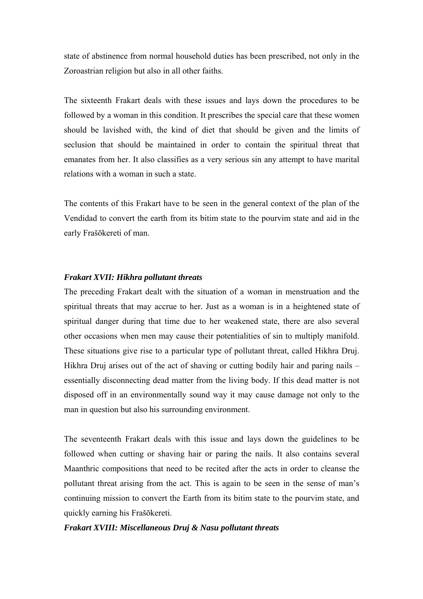state of abstinence from normal household duties has been prescribed, not only in the Zoroastrian religion but also in all other faiths.

The sixteenth Frakart deals with these issues and lays down the procedures to be followed by a woman in this condition. It prescribes the special care that these women should be lavished with, the kind of diet that should be given and the limits of seclusion that should be maintained in order to contain the spiritual threat that emanates from her. It also classifies as a very serious sin any attempt to have marital relations with a woman in such a state.

The contents of this Frakart have to be seen in the general context of the plan of the Vendidad to convert the earth from its bitim state to the pourvim state and aid in the early Frašōkereti of man.

# *Frakart XVII: Hikhra pollutant threats*

The preceding Frakart dealt with the situation of a woman in menstruation and the spiritual threats that may accrue to her. Just as a woman is in a heightened state of spiritual danger during that time due to her weakened state, there are also several other occasions when men may cause their potentialities of sin to multiply manifold. These situations give rise to a particular type of pollutant threat, called Hikhra Druj. Hikhra Druj arises out of the act of shaving or cutting bodily hair and paring nails – essentially disconnecting dead matter from the living body. If this dead matter is not disposed off in an environmentally sound way it may cause damage not only to the man in question but also his surrounding environment.

The seventeenth Frakart deals with this issue and lays down the guidelines to be followed when cutting or shaving hair or paring the nails. It also contains several Maanthric compositions that need to be recited after the acts in order to cleanse the pollutant threat arising from the act. This is again to be seen in the sense of man's continuing mission to convert the Earth from its bitim state to the pourvim state, and quickly earning his Frašōkereti.

#### *Frakart XVIII: Miscellaneous Druj & Nasu pollutant threats*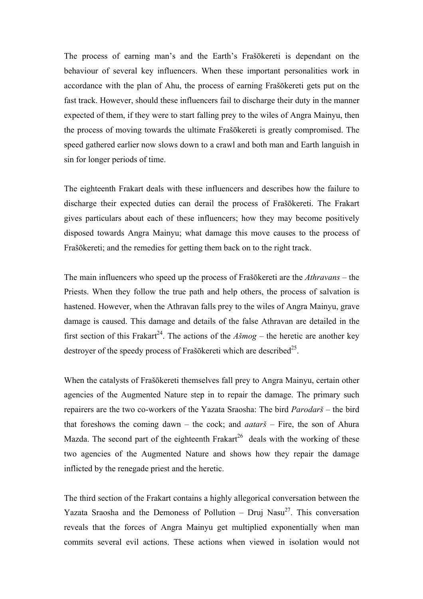The process of earning man's and the Earth's Frašōkereti is dependant on the behaviour of several key influencers. When these important personalities work in accordance with the plan of Ahu, the process of earning Frašōkereti gets put on the fast track. However, should these influencers fail to discharge their duty in the manner expected of them, if they were to start falling prey to the wiles of Angra Mainyu, then the process of moving towards the ultimate Frašōkereti is greatly compromised. The speed gathered earlier now slows down to a crawl and both man and Earth languish in sin for longer periods of time.

The eighteenth Frakart deals with these influencers and describes how the failure to discharge their expected duties can derail the process of Frašōkereti. The Frakart gives particulars about each of these influencers; how they may become positively disposed towards Angra Mainyu; what damage this move causes to the process of Frašōkereti; and the remedies for getting them back on to the right track.

The main influencers who speed up the process of Frašōkereti are the *Athravans* – the Priests. When they follow the true path and help others, the process of salvation is hastened. However, when the Athravan falls prey to the wiles of Angra Mainyu, grave damage is caused. This damage and details of the false Athravan are detailed in the first section of this Frakart<sup>24</sup>. The actions of the  $A\check{s}mog$  – the heretic are another key destroyer of the speedy process of Frašōkereti which are described<sup>25</sup>.

When the catalysts of Frašōkereti themselves fall prey to Angra Mainyu, certain other agencies of the Augmented Nature step in to repair the damage. The primary such repairers are the two co-workers of the Yazata Sraosha: The bird *Parodarš* – the bird that foreshows the coming dawn – the cock; and *aatarš* – Fire, the son of Ahura Mazda. The second part of the eighteenth Frakart<sup>26</sup> deals with the working of these two agencies of the Augmented Nature and shows how they repair the damage inflicted by the renegade priest and the heretic.

The third section of the Frakart contains a highly allegorical conversation between the Yazata Sraosha and the Demoness of Pollution – Druj Nasu<sup>27</sup>. This conversation reveals that the forces of Angra Mainyu get multiplied exponentially when man commits several evil actions. These actions when viewed in isolation would not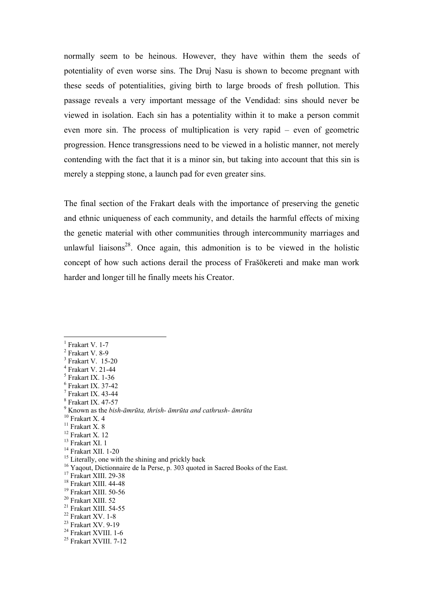normally seem to be heinous. However, they have within them the seeds of potentiality of even worse sins. The Druj Nasu is shown to become pregnant with these seeds of potentialities, giving birth to large broods of fresh pollution. This passage reveals a very important message of the Vendidad: sins should never be viewed in isolation. Each sin has a potentiality within it to make a person commit even more sin. The process of multiplication is very rapid – even of geometric progression. Hence transgressions need to be viewed in a holistic manner, not merely contending with the fact that it is a minor sin, but taking into account that this sin is merely a stepping stone, a launch pad for even greater sins.

The final section of the Frakart deals with the importance of preserving the genetic and ethnic uniqueness of each community, and details the harmful effects of mixing the genetic material with other communities through intercommunity marriages and unlawful liaisons<sup>28</sup>. Once again, this admonition is to be viewed in the holistic concept of how such actions derail the process of Frašōkereti and make man work harder and longer till he finally meets his Creator.

 $<sup>1</sup>$  Frakart V. 1-7</sup>

 $\overline{a}$ 

<sup>14</sup> Frakart XII. 1-20

<sup>16</sup> Yaqout, Dictionnaire de la Perse, p. 303 quoted in Sacred Books of the East.

 $2$  Frakart V. 8-9

<sup>3</sup> Frakart V. 15-20

<sup>4</sup> Frakart V. 21-44

<sup>5</sup> Frakart IX. 1-36 6 Frakart IX. 37-42

<sup>7</sup> Frakart IX. 43-44

<sup>8</sup> Frakart IX. 47-57

<sup>9</sup> Known as the *bish-āmrūta, thrish- āmrūta and cathrush- āmrūta* 10 Frakart X. 4

 $\frac{10}{11}$  Frakart X. 4

<sup>12</sup> Frakart X. 12

 $^{13}$  Frakart XI.  $1\,$ 

<sup>&</sup>lt;sup>15</sup> Literally, one with the shining and prickly back

<sup>&</sup>lt;sup>17</sup> Frakart XIII. 29-38

<sup>18</sup> Frakart XIII. 44-48

<sup>&</sup>lt;sup>19</sup> Frakart XIII. 50-56

<sup>20</sup> Frakart XIII. 52

<sup>21</sup> Frakart XIII. 54-55

<sup>22</sup> Frakart XV. 1-8

<sup>23</sup> Frakart XV. 9-19

<sup>24</sup> Frakart XVIII. 1-6

<sup>25</sup> Frakart XVIII. 7-12